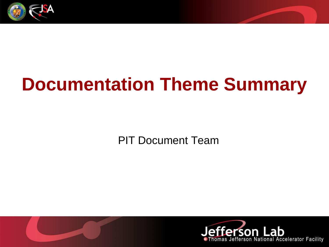

# **Documentation Theme Summary**

PIT Document Team

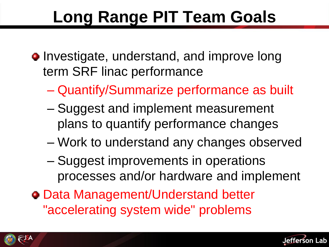# **Long Range PIT Team Goals**

- Investigate, understand, and improve long term SRF linac performance
	- Quantify/Summarize performance as built
	- Suggest and implement measurement plans to quantify performance changes
	- Work to understand any changes observed
	- Suggest improvements in operations processes and/or hardware and implement
- Data Management/Understand better "accelerating system wide" problems



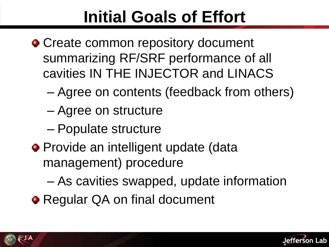## **Initial Goals of Effort**

- Create common repository document summarizing RF/SRF performance of all cavities IN THE INJECTOR and LINACS
	- Agree on contents (feedback from others)
	- Agree on structure
	- Populate structure
- **Provide an intelligent update (data** management) procedure
	- As cavities swapped, update information
- **Regular QA on final document**



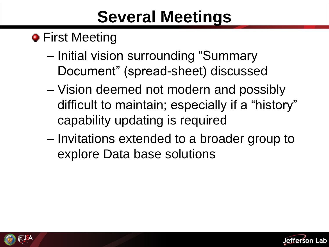### **Several Meetings**

#### **•** First Meeting

- Initial vision surrounding "Summary Document" (spread-sheet) discussed
- Vision deemed not modern and possibly difficult to maintain; especially if a "history" capability updating is required
- Invitations extended to a broader group to explore Data base solutions



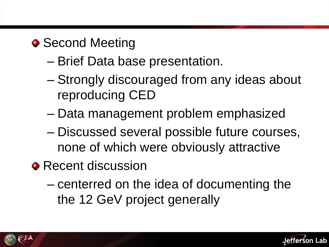#### • Second Meeting

- Brief Data base presentation.
- Strongly discouraged from any ideas about reproducing CED
- Data management problem emphasized
- Discussed several possible future courses, none of which were obviously attractive
- Recent discussion
	- centerred on the idea of documenting the the 12 GeV project generally



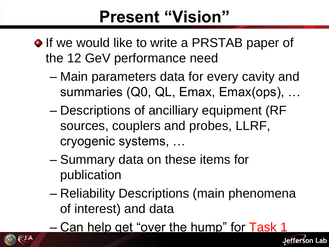### **Present "Vision"**

- **•** If we would like to write a PRSTAB paper of the 12 GeV performance need
	- Main parameters data for every cavity and summaries (Q0, QL, Emax, Emax(ops), …
	- Descriptions of ancilliary equipment (RF sources, couplers and probes, LLRF, cryogenic systems, …
	- Summary data on these items for publication
	- Reliability Descriptions (main phenomena of interest) and data
	- Can help get "over the hump" for Task 1



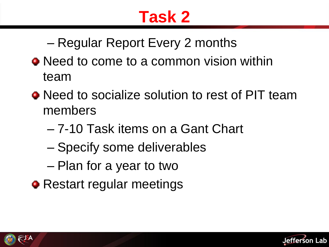### **Task 2**

– Regular Report Every 2 months

- Need to come to a common vision within team
- Need to socialize solution to rest of PIT team members
	- 7-10 Task items on a Gant Chart
	- Specify some deliverables
	- Plan for a year to two
- Restart regular meetings